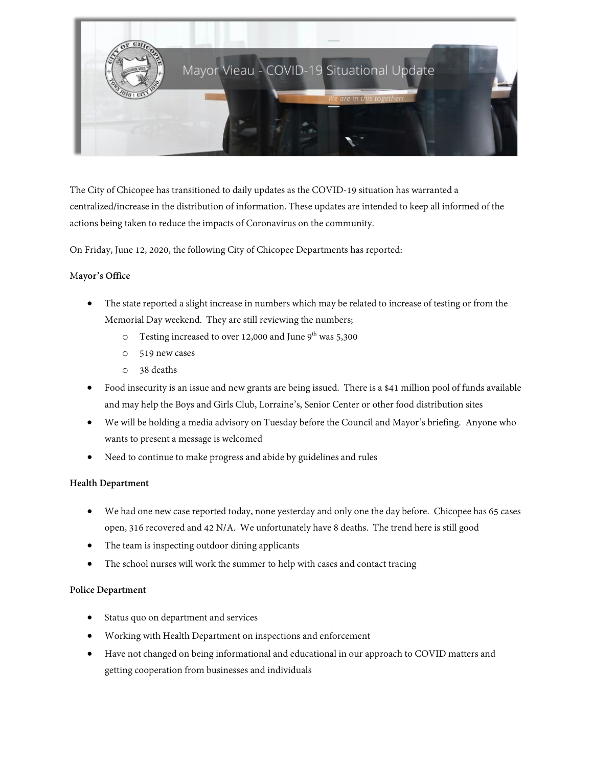

The City of Chicopee has transitioned to daily updates as the COVID-19 situation has warranted a centralized/increase in the distribution of information. These updates are intended to keep all informed of the actions being taken to reduce the impacts of Coronavirus on the community.

On Friday, June 12, 2020, the following City of Chicopee Departments has reported:

# M**ayor's Office**

- The state reported a slight increase in numbers which may be related to increase of testing or from the Memorial Day weekend. They are still reviewing the numbers;
	- $\degree$  Testing increased to over 12,000 and June 9<sup>th</sup> was 5,300
	- o 519 new cases
	- o 38 deaths
- Food insecurity is an issue and new grants are being issued. There is a \$41 million pool of funds available and may help the Boys and Girls Club, Lorraine's, Senior Center or other food distribution sites
- We will be holding a media advisory on Tuesday before the Council and Mayor's briefing. Anyone who wants to present a message is welcomed
- Need to continue to make progress and abide by guidelines and rules

## **Health Department**

- We had one new case reported today, none yesterday and only one the day before. Chicopee has 65 cases open, 316 recovered and 42 N/A. We unfortunately have 8 deaths. The trend here is still good
- The team is inspecting outdoor dining applicants
- The school nurses will work the summer to help with cases and contact tracing

## **Police Department**

- Status quo on department and services
- Working with Health Department on inspections and enforcement
- Have not changed on being informational and educational in our approach to COVID matters and getting cooperation from businesses and individuals